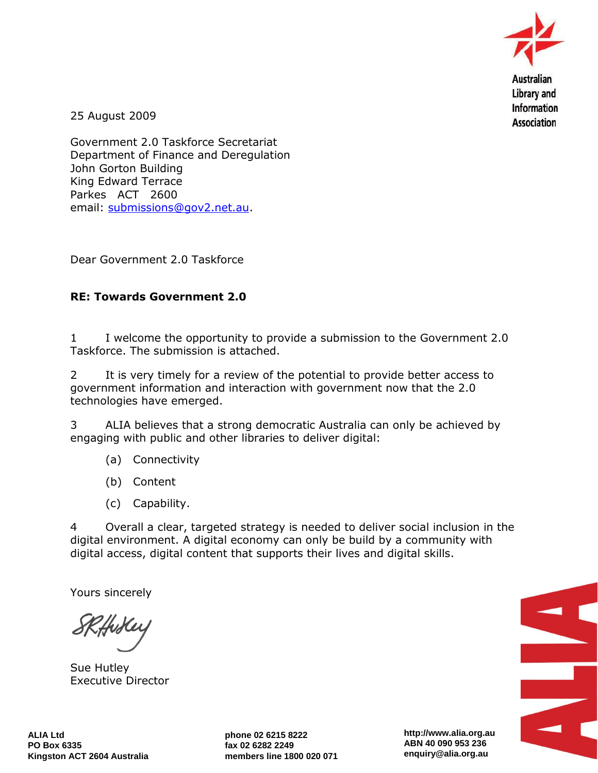

25 August 2009

Government 2.0 Taskforce Secretariat Department of Finance and Deregulation John Gorton Building King Edward Terrace Parkes ACT 2600 email: [submissions@gov2.net.au.](mailto:submissions@gov2.net.au)

Dear Government 2.0 Taskforce

## **RE: Towards Government 2.0**

1 I welcome the opportunity to provide a submission to the Government 2.0 Taskforce. The submission is attached.

2 It is very timely for a review of the potential to provide better access to government information and interaction with government now that the 2.0 technologies have emerged.

3 ALIA believes that a strong democratic Australia can only be achieved by engaging with public and other libraries to deliver digital:

- (a) Connectivity
- (b) Content
- (c) Capability.

4 Overall a clear, targeted strategy is needed to deliver social inclusion in the digital environment. A digital economy can only be build by a community with digital access, digital content that supports their lives and digital skills.

Yours sincerely

Sue Hutley Executive Director



**http://www.alia.org.au ABN 40 090 953 236 enquiry@alia.org.au**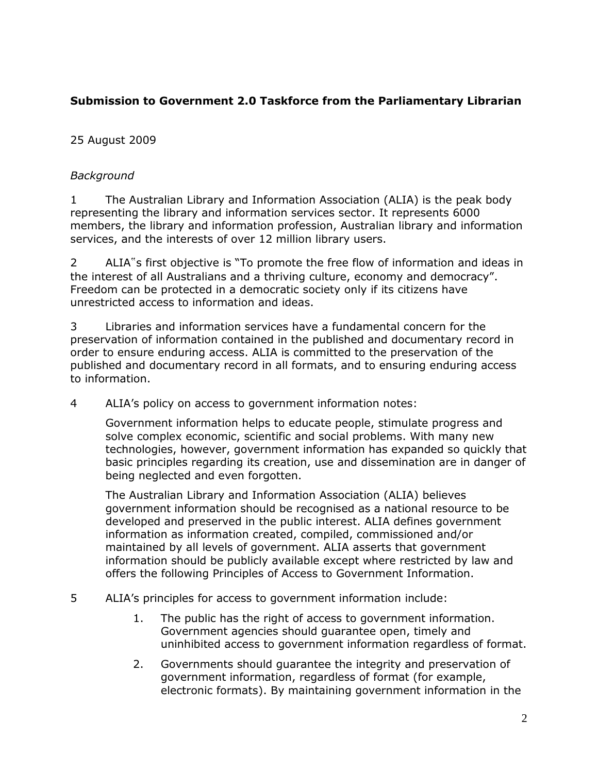# **Submission to Government 2.0 Taskforce from the Parliamentary Librarian**

# 25 August 2009

# *Background*

1 The Australian Library and Information Association (ALIA) is the peak body representing the library and information services sector. It represents 6000 members, the library and information profession, Australian library and information services, and the interests of over 12 million library users.

2 ALIA"s first objective is "To promote the free flow of information and ideas in the interest of all Australians and a thriving culture, economy and democracy". Freedom can be protected in a democratic society only if its citizens have unrestricted access to information and ideas.

3 Libraries and information services have a fundamental concern for the preservation of information contained in the published and documentary record in order to ensure enduring access. ALIA is committed to the preservation of the published and documentary record in all formats, and to ensuring enduring access to information.

4 ALIA"s policy on access to government information notes:

Government information helps to educate people, stimulate progress and solve complex economic, scientific and social problems. With many new technologies, however, government information has expanded so quickly that basic principles regarding its creation, use and dissemination are in danger of being neglected and even forgotten.

The Australian Library and Information Association (ALIA) believes government information should be recognised as a national resource to be developed and preserved in the public interest. ALIA defines government information as information created, compiled, commissioned and/or maintained by all levels of government. ALIA asserts that government information should be publicly available except where restricted by law and offers the following Principles of Access to Government Information.

- 5 ALIA"s principles for access to government information include:
	- 1. The public has the right of access to government information. Government agencies should guarantee open, timely and uninhibited access to government information regardless of format.
	- 2. Governments should guarantee the integrity and preservation of government information, regardless of format (for example, electronic formats). By maintaining government information in the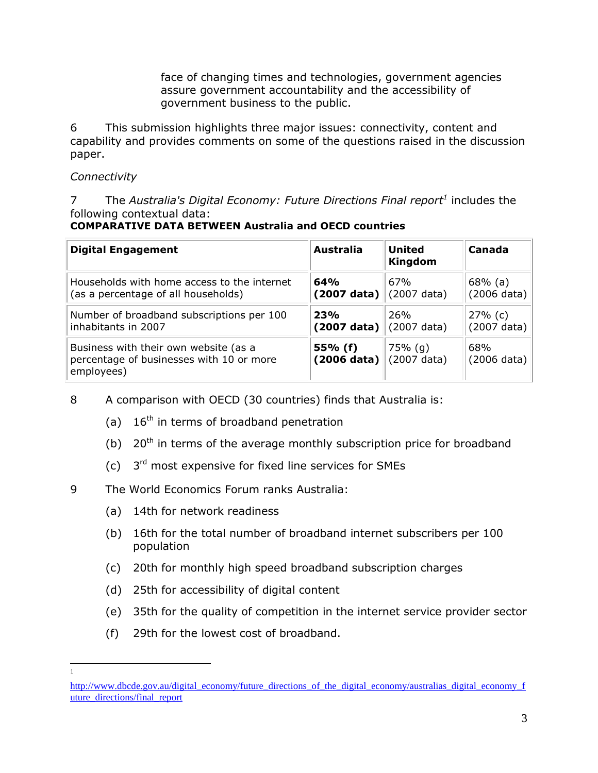face of changing times and technologies, government agencies assure government accountability and the accessibility of government business to the public.

6 This submission highlights three major issues: connectivity, content and capability and provides comments on some of the questions raised in the discussion paper.

## *Connectivity*

7 The *Australia's Digital Economy: Future Directions Final report<sup>1</sup>* includes the following contextual data:

**COMPARATIVE DATA BETWEEN Australia and OECD countries** 

| <b>Digital Engagement</b>                                                                       | <b>Australia</b>                 | <b>United</b><br><b>Kingdom</b> | Canada                       |
|-------------------------------------------------------------------------------------------------|----------------------------------|---------------------------------|------------------------------|
| Households with home access to the internet                                                     | 64%                              | 67%                             | $68\%$ (a)                   |
| (as a percentage of all households)                                                             | $(2007 \text{ data})$            | (2007 data)                     | $(2006 \text{ data})$        |
| Number of broadband subscriptions per 100                                                       | <b>23%</b>                       | 26%                             | $27%$ (c)                    |
| inhabitants in 2007                                                                             | $(2007 \text{ data})$            | (2007 data)                     | $(2007 \text{ data})$        |
| Business with their own website (as a<br>percentage of businesses with 10 or more<br>employees) | 55% (f)<br>$(2006 \text{ data})$ | $75%$ (g)<br>(2007 data)        | 68%<br>$(2006 \text{ data})$ |

- 8 A comparison with OECD (30 countries) finds that Australia is:
	- (a)  $16<sup>th</sup>$  in terms of broadband penetration
	- (b)  $20<sup>th</sup>$  in terms of the average monthly subscription price for broadband
	- (c)  $3<sup>rd</sup>$  most expensive for fixed line services for SMEs
- 9 The World Economics Forum ranks Australia:
	- (a) 14th for network readiness
	- (b) 16th for the total number of broadband internet subscribers per 100 population
	- (c) 20th for monthly high speed broadband subscription charges
	- (d) 25th for accessibility of digital content
	- (e) 35th for the quality of competition in the internet service provider sector
	- (f) 29th for the lowest cost of broadband.

 $\overline{a}$ 1

[http://www.dbcde.gov.au/digital\\_economy/future\\_directions\\_of\\_the\\_digital\\_economy/australias\\_digital\\_economy\\_f](http://www.dbcde.gov.au/digital_economy/future_directions_of_the_digital_economy/australias_digital_economy_future_directions/final_report) uture directions/final report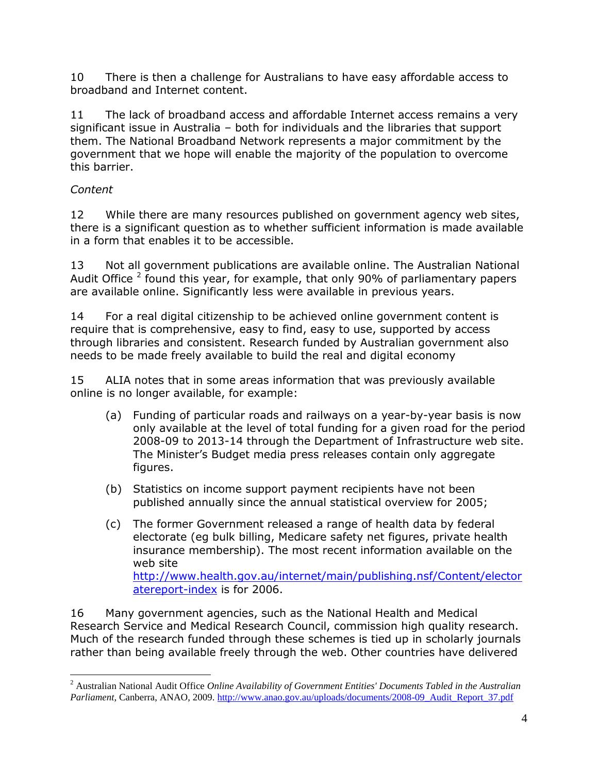10 There is then a challenge for Australians to have easy affordable access to broadband and Internet content.

11 The lack of broadband access and affordable Internet access remains a very significant issue in Australia – both for individuals and the libraries that support them. The National Broadband Network represents a major commitment by the government that we hope will enable the majority of the population to overcome this barrier.

# *Content*

12 While there are many resources published on government agency web sites, there is a significant question as to whether sufficient information is made available in a form that enables it to be accessible.

13 Not all government publications are available online. The Australian National Audit Office  $^2$  found this year, for example, that only 90% of parliamentary papers are available online. Significantly less were available in previous years.

14 For a real digital citizenship to be achieved online government content is require that is comprehensive, easy to find, easy to use, supported by access through libraries and consistent. Research funded by Australian government also needs to be made freely available to build the real and digital economy

15 ALIA notes that in some areas information that was previously available online is no longer available, for example:

- (a) Funding of particular roads and railways on a year-by-year basis is now only available at the level of total funding for a given road for the period 2008-09 to 2013-14 through the Department of Infrastructure web site. The Minister"s Budget media press releases contain only aggregate figures.
- (b) Statistics on income support payment recipients have not been published annually since the annual statistical overview for 2005;
- (c) The former Government released a range of health data by federal electorate (eg bulk billing, Medicare safety net figures, private health insurance membership). The most recent information available on the web site [http://www.health.gov.au/internet/main/publishing.nsf/Content/elector](http://www.health.gov.au/internet/main/publishing.nsf/Content/electoratereport-index) [atereport-index](http://www.health.gov.au/internet/main/publishing.nsf/Content/electoratereport-index) is for 2006.

16 Many government agencies, such as the National Health and Medical Research Service and Medical Research Council, commission high quality research. Much of the research funded through these schemes is tied up in scholarly journals rather than being available freely through the web. Other countries have delivered

 $\overline{a}$ <sup>2</sup> Australian National Audit Office *Online Availability of Government Entities' Documents Tabled in the Australian Parliament*, Canberra, ANAO, 2009. [http://www.anao.gov.au/uploads/documents/2008-09\\_Audit\\_Report\\_37.pdf](http://www.anao.gov.au/uploads/documents/2008-09_Audit_Report_37.pdf)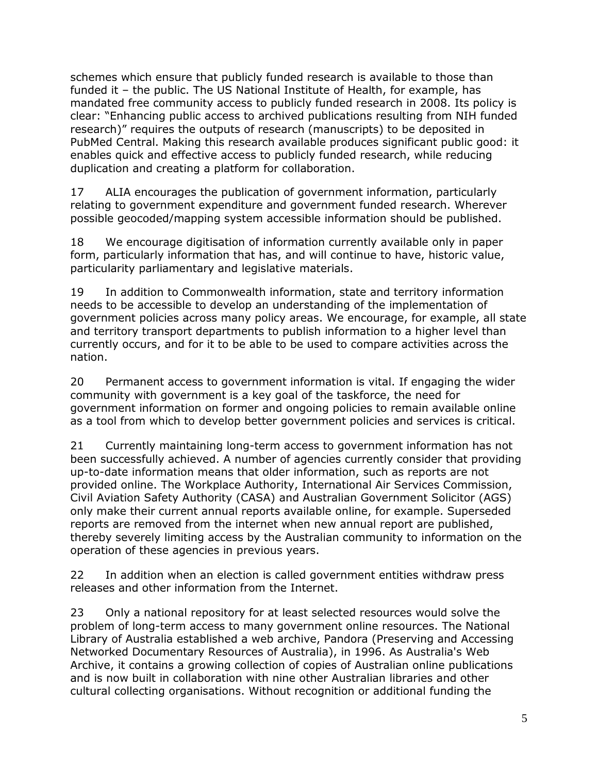schemes which ensure that publicly funded research is available to those than funded it – the public. The US National Institute of Health, for example, has mandated free community access to publicly funded research in 2008. Its policy is clear: "Enhancing public access to archived publications resulting from NIH funded research)" requires the outputs of research (manuscripts) to be deposited in PubMed Central. Making this research available produces significant public good: it enables quick and effective access to publicly funded research, while reducing duplication and creating a platform for collaboration.

17 ALIA encourages the publication of government information, particularly relating to government expenditure and government funded research. Wherever possible geocoded/mapping system accessible information should be published.

18 We encourage digitisation of information currently available only in paper form, particularly information that has, and will continue to have, historic value, particularity parliamentary and legislative materials.

19 In addition to Commonwealth information, state and territory information needs to be accessible to develop an understanding of the implementation of government policies across many policy areas. We encourage, for example, all state and territory transport departments to publish information to a higher level than currently occurs, and for it to be able to be used to compare activities across the nation.

20 Permanent access to government information is vital. If engaging the wider community with government is a key goal of the taskforce, the need for government information on former and ongoing policies to remain available online as a tool from which to develop better government policies and services is critical.

21 Currently maintaining long-term access to government information has not been successfully achieved. A number of agencies currently consider that providing up-to-date information means that older information, such as reports are not provided online. The Workplace Authority, International Air Services Commission, Civil Aviation Safety Authority (CASA) and Australian Government Solicitor (AGS) only make their current annual reports available online, for example. Superseded reports are removed from the internet when new annual report are published, thereby severely limiting access by the Australian community to information on the operation of these agencies in previous years.

22 In addition when an election is called government entities withdraw press releases and other information from the Internet.

23 Only a national repository for at least selected resources would solve the problem of long-term access to many government online resources. The National Library of Australia established a web archive, Pandora (Preserving and Accessing Networked Documentary Resources of Australia), in 1996. As Australia's Web Archive, it contains a growing collection of copies of Australian online publications and is now built in collaboration with nine other Australian libraries and other cultural collecting organisations. Without recognition or additional funding the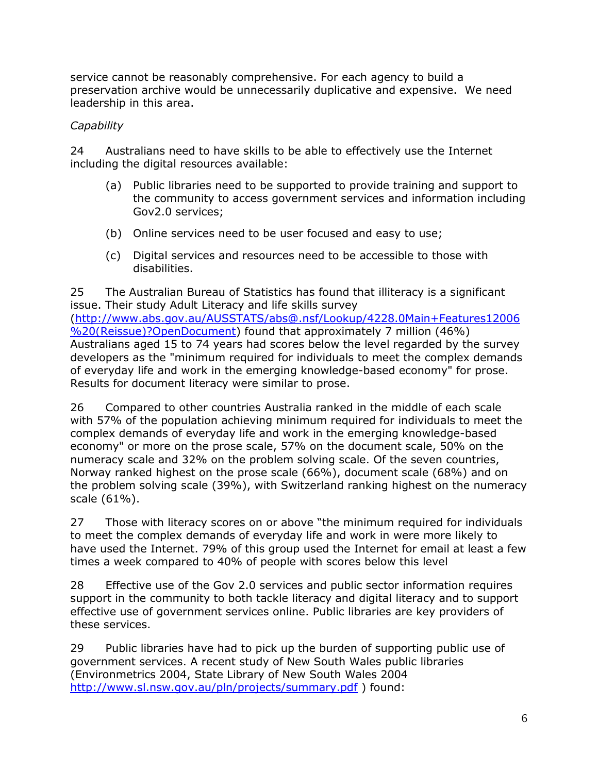service cannot be reasonably comprehensive. For each agency to build a preservation archive would be unnecessarily duplicative and expensive. We need leadership in this area.

# *Capability*

24 Australians need to have skills to be able to effectively use the Internet including the digital resources available:

- (a) Public libraries need to be supported to provide training and support to the community to access government services and information including Gov2.0 services;
- (b) Online services need to be user focused and easy to use;
- (c) Digital services and resources need to be accessible to those with disabilities.

25 The Australian Bureau of Statistics has found that illiteracy is a significant issue. Their study Adult Literacy and life skills survey [\(http://www.abs.gov.au/AUSSTATS/abs@.nsf/Lookup/4228.0Main+Features12006](http://www.abs.gov.au/AUSSTATS/abs@.nsf/Lookup/4228.0Main+Features12006%20(Reissue)?OpenDocument) [%20\(Reissue\)?OpenDocument\)](http://www.abs.gov.au/AUSSTATS/abs@.nsf/Lookup/4228.0Main+Features12006%20(Reissue)?OpenDocument) found that approximately 7 million (46%) Australians aged 15 to 74 years had scores below the level regarded by the survey developers as the "minimum required for individuals to meet the complex demands of everyday life and work in the emerging knowledge-based economy" for prose. Results for document literacy were similar to prose.

26 Compared to other countries Australia ranked in the middle of each scale with 57% of the population achieving minimum required for individuals to meet the complex demands of everyday life and work in the emerging knowledge-based economy" or more on the prose scale, 57% on the document scale, 50% on the numeracy scale and 32% on the problem solving scale. Of the seven countries, Norway ranked highest on the prose scale (66%), document scale (68%) and on the problem solving scale (39%), with Switzerland ranking highest on the numeracy scale (61%).

27 Those with literacy scores on or above "the minimum required for individuals to meet the complex demands of everyday life and work in were more likely to have used the Internet. 79% of this group used the Internet for email at least a few times a week compared to 40% of people with scores below this level

28 Effective use of the Gov 2.0 services and public sector information requires support in the community to both tackle literacy and digital literacy and to support effective use of government services online. Public libraries are key providers of these services.

29 Public libraries have had to pick up the burden of supporting public use of government services. A recent study of New South Wales public libraries (Environmetrics 2004, State Library of New South Wales 2004 <http://www.sl.nsw.gov.au/pln/projects/summary.pdf> ) found: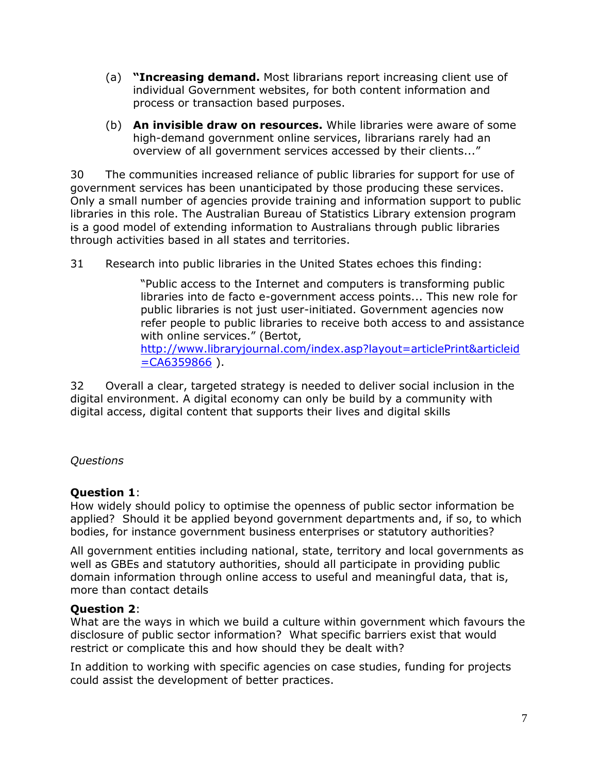- (a) **"Increasing demand.** Most librarians report increasing client use of individual Government websites, for both content information and process or transaction based purposes.
- (b) **An invisible draw on resources.** While libraries were aware of some high-demand government online services, librarians rarely had an overview of all government services accessed by their clients..."

30 The communities increased reliance of public libraries for support for use of government services has been unanticipated by those producing these services. Only a small number of agencies provide training and information support to public libraries in this role. The Australian Bureau of Statistics Library extension program is a good model of extending information to Australians through public libraries through activities based in all states and territories.

31 Research into public libraries in the United States echoes this finding:

"Public access to the Internet and computers is transforming public libraries into de facto e-government access points... This new role for public libraries is not just user-initiated. Government agencies now refer people to public libraries to receive both access to and assistance with online services." (Bertot, [http://www.libraryjournal.com/index.asp?layout=articlePrint&articleid](http://www.libraryjournal.com/index.asp?layout=articlePrint&articleid=CA6359866)  $=CA6359866$ ).

32 Overall a clear, targeted strategy is needed to deliver social inclusion in the digital environment. A digital economy can only be build by a community with digital access, digital content that supports their lives and digital skills

# *Questions*

### **Question 1**:

How widely should policy to optimise the openness of public sector information be applied? Should it be applied beyond government departments and, if so, to which bodies, for instance government business enterprises or statutory authorities?

All government entities including national, state, territory and local governments as well as GBEs and statutory authorities, should all participate in providing public domain information through online access to useful and meaningful data, that is, more than contact details

### **Question 2**:

What are the ways in which we build a culture within government which favours the disclosure of public sector information? What specific barriers exist that would restrict or complicate this and how should they be dealt with?

In addition to working with specific agencies on case studies, funding for projects could assist the development of better practices.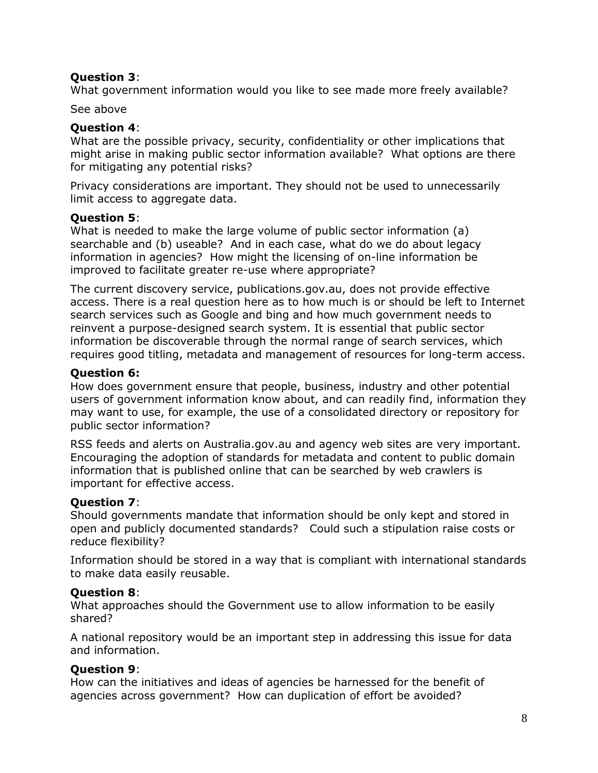### **Question 3**:

What government information would you like to see made more freely available?

See above

## **Question 4**:

What are the possible privacy, security, confidentiality or other implications that might arise in making public sector information available? What options are there for mitigating any potential risks?

Privacy considerations are important. They should not be used to unnecessarily limit access to aggregate data.

## **Question 5**:

What is needed to make the large volume of public sector information (a) searchable and (b) useable? And in each case, what do we do about legacy information in agencies? How might the licensing of on-line information be improved to facilitate greater re-use where appropriate?

The current discovery service, publications.gov.au, does not provide effective access. There is a real question here as to how much is or should be left to Internet search services such as Google and bing and how much government needs to reinvent a purpose-designed search system. It is essential that public sector information be discoverable through the normal range of search services, which requires good titling, metadata and management of resources for long-term access.

# **Question 6:**

How does government ensure that people, business, industry and other potential users of government information know about, and can readily find, information they may want to use, for example, the use of a consolidated directory or repository for public sector information?

RSS feeds and alerts on Australia.gov.au and agency web sites are very important. Encouraging the adoption of standards for metadata and content to public domain information that is published online that can be searched by web crawlers is important for effective access.

# **Question 7**:

Should governments mandate that information should be only kept and stored in open and publicly documented standards? Could such a stipulation raise costs or reduce flexibility?

Information should be stored in a way that is compliant with international standards to make data easily reusable.

### **Question 8**:

What approaches should the Government use to allow information to be easily shared?

A national repository would be an important step in addressing this issue for data and information.

# **Question 9**:

How can the initiatives and ideas of agencies be harnessed for the benefit of agencies across government? How can duplication of effort be avoided?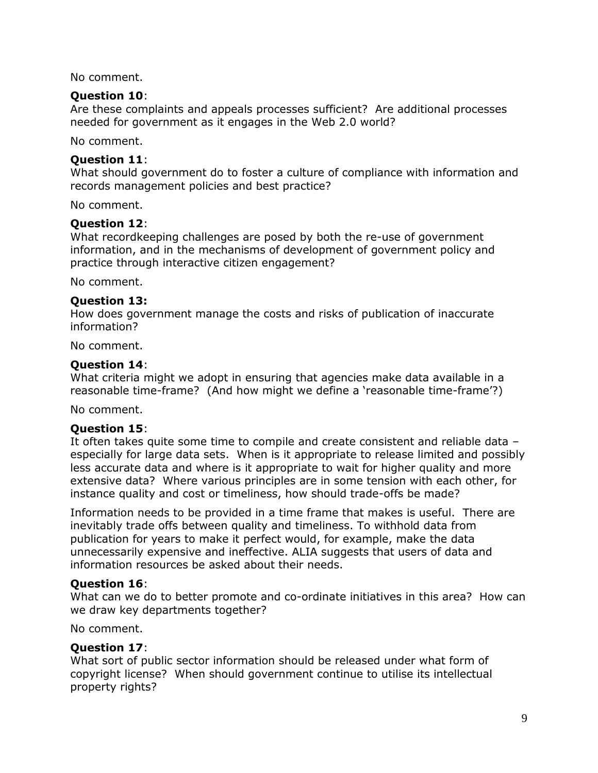No comment.

#### **Question 10**:

Are these complaints and appeals processes sufficient? Are additional processes needed for government as it engages in the Web 2.0 world?

No comment.

#### **Question 11**:

What should government do to foster a culture of compliance with information and records management policies and best practice?

No comment.

#### **Question 12**:

What recordkeeping challenges are posed by both the re-use of government information, and in the mechanisms of development of government policy and practice through interactive citizen engagement?

No comment.

#### **Question 13:**

How does government manage the costs and risks of publication of inaccurate information?

No comment.

#### **Question 14**:

What criteria might we adopt in ensuring that agencies make data available in a reasonable time-frame? (And how might we define a 'reasonable time-frame'?)

No comment.

### **Question 15**:

It often takes quite some time to compile and create consistent and reliable data – especially for large data sets. When is it appropriate to release limited and possibly less accurate data and where is it appropriate to wait for higher quality and more extensive data? Where various principles are in some tension with each other, for instance quality and cost or timeliness, how should trade-offs be made?

Information needs to be provided in a time frame that makes is useful. There are inevitably trade offs between quality and timeliness. To withhold data from publication for years to make it perfect would, for example, make the data unnecessarily expensive and ineffective. ALIA suggests that users of data and information resources be asked about their needs.

### **Question 16**:

What can we do to better promote and co-ordinate initiatives in this area? How can we draw key departments together?

No comment.

### **Question 17**:

What sort of public sector information should be released under what form of copyright license? When should government continue to utilise its intellectual property rights?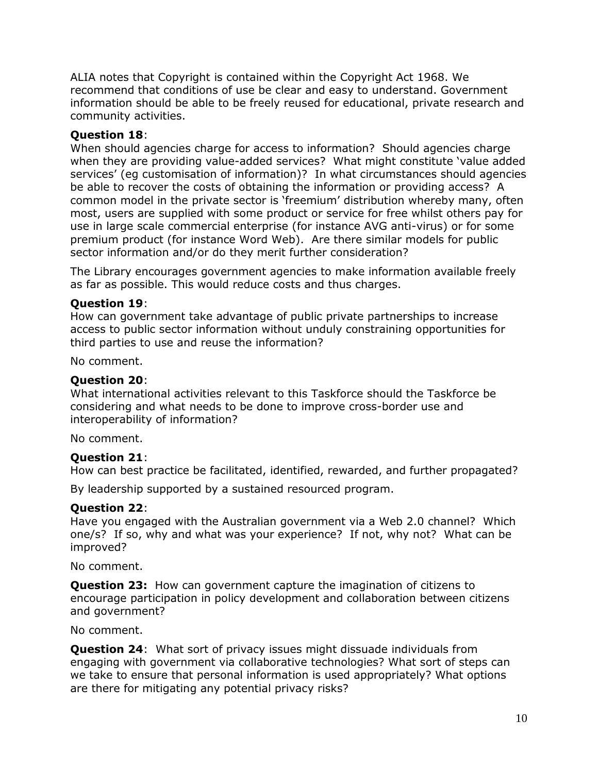ALIA notes that Copyright is contained within the Copyright Act 1968. We recommend that conditions of use be clear and easy to understand. Government information should be able to be freely reused for educational, private research and community activities.

## **Question 18**:

When should agencies charge for access to information? Should agencies charge when they are providing value-added services? What might constitute 'value added services" (eg customisation of information)? In what circumstances should agencies be able to recover the costs of obtaining the information or providing access? A common model in the private sector is "freemium" distribution whereby many, often most, users are supplied with some product or service for free whilst others pay for use in large scale commercial enterprise (for instance AVG anti-virus) or for some premium product (for instance Word Web). Are there similar models for public sector information and/or do they merit further consideration?

The Library encourages government agencies to make information available freely as far as possible. This would reduce costs and thus charges.

### **Question 19**:

How can government take advantage of public private partnerships to increase access to public sector information without unduly constraining opportunities for third parties to use and reuse the information?

No comment.

### **Question 20**:

What international activities relevant to this Taskforce should the Taskforce be considering and what needs to be done to improve cross-border use and interoperability of information?

No comment.

### **Question 21**:

How can best practice be facilitated, identified, rewarded, and further propagated?

By leadership supported by a sustained resourced program.

### **Question 22**:

Have you engaged with the Australian government via a Web 2.0 channel? Which one/s? If so, why and what was your experience? If not, why not? What can be improved?

No comment.

**Question 23:** How can government capture the imagination of citizens to encourage participation in policy development and collaboration between citizens and government?

No comment.

**Question 24**: What sort of privacy issues might dissuade individuals from engaging with government via collaborative technologies? What sort of steps can we take to ensure that personal information is used appropriately? What options are there for mitigating any potential privacy risks?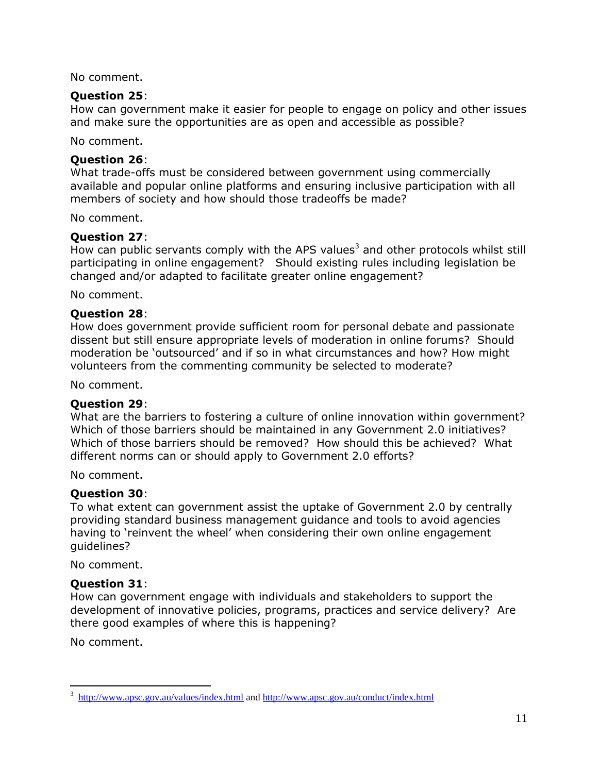No comment.

#### **Question 25**:

How can government make it easier for people to engage on policy and other issues and make sure the opportunities are as open and accessible as possible?

No comment.

### **Question 26**:

What trade-offs must be considered between government using commercially available and popular online platforms and ensuring inclusive participation with all members of society and how should those tradeoffs be made?

No comment.

### **Question 27**:

How can public servants comply with the APS values<sup>3</sup> and other protocols whilst still participating in online engagement? Should existing rules including legislation be changed and/or adapted to facilitate greater online engagement?

No comment.

### **Question 28**:

How does government provide sufficient room for personal debate and passionate dissent but still ensure appropriate levels of moderation in online forums? Should moderation be "outsourced" and if so in what circumstances and how? How might volunteers from the commenting community be selected to moderate?

No comment.

### **Question 29**:

What are the barriers to fostering a culture of online innovation within government? Which of those barriers should be maintained in any Government 2.0 initiatives? Which of those barriers should be removed? How should this be achieved? What different norms can or should apply to Government 2.0 efforts?

No comment.

### **Question 30**:

To what extent can government assist the uptake of Government 2.0 by centrally providing standard business management guidance and tools to avoid agencies having to "reinvent the wheel" when considering their own online engagement guidelines?

No comment.

### **Question 31**:

How can government engage with individuals and stakeholders to support the development of innovative policies, programs, practices and service delivery? Are there good examples of where this is happening?

No comment.

 $\overline{a}$ 

<sup>3</sup> <http://www.apsc.gov.au/values/index.html> and<http://www.apsc.gov.au/conduct/index.html>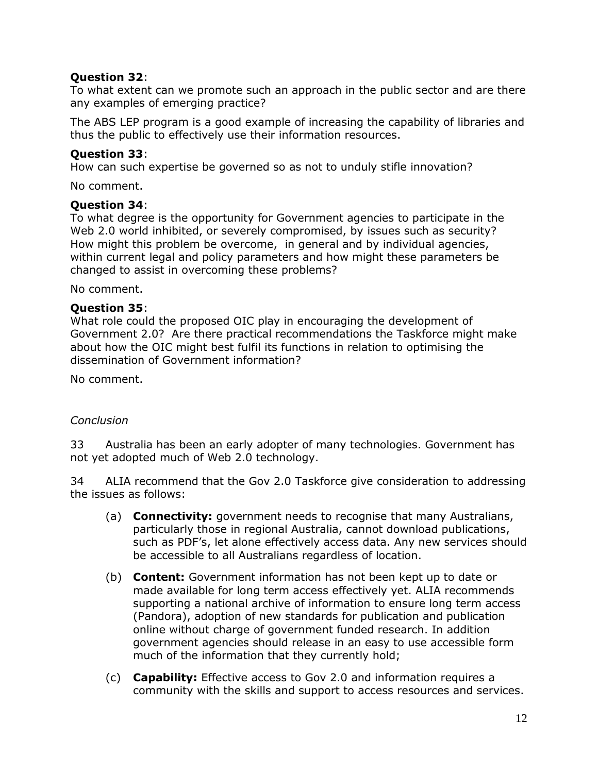### **Question 32**:

To what extent can we promote such an approach in the public sector and are there any examples of emerging practice?

The ABS LEP program is a good example of increasing the capability of libraries and thus the public to effectively use their information resources.

## **Question 33**:

How can such expertise be governed so as not to unduly stifle innovation?

No comment.

### **Question 34**:

To what degree is the opportunity for Government agencies to participate in the Web 2.0 world inhibited, or severely compromised, by issues such as security? How might this problem be overcome, in general and by individual agencies, within current legal and policy parameters and how might these parameters be changed to assist in overcoming these problems?

No comment.

## **Question 35**:

What role could the proposed OIC play in encouraging the development of Government 2.0? Are there practical recommendations the Taskforce might make about how the OIC might best fulfil its functions in relation to optimising the dissemination of Government information?

No comment.

### *Conclusion*

33 Australia has been an early adopter of many technologies. Government has not yet adopted much of Web 2.0 technology.

34 ALIA recommend that the Gov 2.0 Taskforce give consideration to addressing the issues as follows:

- (a) **Connectivity:** government needs to recognise that many Australians, particularly those in regional Australia, cannot download publications, such as PDF"s, let alone effectively access data. Any new services should be accessible to all Australians regardless of location.
- (b) **Content:** Government information has not been kept up to date or made available for long term access effectively yet. ALIA recommends supporting a national archive of information to ensure long term access (Pandora), adoption of new standards for publication and publication online without charge of government funded research. In addition government agencies should release in an easy to use accessible form much of the information that they currently hold;
- (c) **Capability:** Effective access to Gov 2.0 and information requires a community with the skills and support to access resources and services.